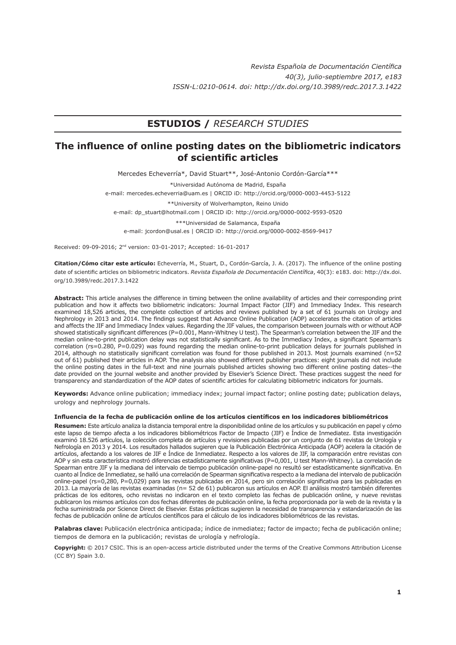# **ESTUDIOS /** *RESEARCH STUDIES*

# **The influence of online posting dates on the bibliometric indicators of scientific articles**

Mercedes Echeverría\*, David Stuart\*\*, José-Antonio Cordón-García\*\*\*

\*Universidad Autónoma de Madrid, España

e-mail: mercedes.echeverria@uam.es | ORCID iD: http://orcid.org/0000-0003-4453-5122

\*\*University of Wolverhampton, Reino Unido e-mail: dp\_stuart@hotmail.com | ORCID iD: http://orcid.org/0000-0002-9593-0520

\*\*\*Universidad de Salamanca, España e-mail: jcordon@usal.es | ORCID iD: http://orcid.org/0000-0002-8569-9417

Received: 09-09-2016; 2nd version: 03-01-2017; Accepted: 16-01-2017

**Citation/Cómo citar este artículo:** Echeverría, M., Stuart, D., Cordón-García, J. A. (2017). The influence of the online posting date of scientific articles on bibliometric indicators. *Revista Española de Documentación Científica*, 40(3): e183. doi: [http://dx.doi.](http://dx.doi.org/10.3989/redc.2017.3.1422) [org/10.3989/redc.2017.3.14](http://dx.doi.org/10.3989/redc.2017.3.1422)22

**Abstract:** This article analyses the difference in timing between the online availability of articles and their corresponding print publication and how it affects two bibliometric indicators: Journal Impact Factor (JIF) and Immediacy Index. This research examined 18,526 articles, the complete collection of articles and reviews published by a set of 61 journals on Urology and Nephrology in 2013 and 2014. The findings suggest that Advance Online Publication (AOP) accelerates the citation of articles and affects the JIF and Immediacy Index values. Regarding the JIF values, the comparison between journals with or without AOP showed statistically significant differences (P=0.001, Mann-Whitney U test). The Spearman's correlation between the JIF and the median online-to-print publication delay was not statistically significant. As to the Immediacy Index, a significant Spearman's correlation (rs=0.280, P=0.029) was found regarding the median online-to-print publication delays for journals published in 2014, although no statistically significant correlation was found for those published in 2013. Most journals examined (n=52 out of 61) published their articles in AOP. The analysis also showed different publisher practices: eight journals did not include the online posting dates in the full-text and nine journals published articles showing two different online posting dates--the date provided on the journal website and another provided by Elsevier's Science Direct. These practices suggest the need for transparency and standardization of the AOP dates of scientific articles for calculating bibliometric indicators for journals.

**Keywords:** Advance online publication; immediacy index; journal impact factor; online posting date; publication delays, urology and nephrology journals.

#### **Influencia de la fecha de publicación online de los artículos científicos en los indicadores bibliométricos**

**Resumen:** Este artículo analiza la distancia temporal entre la disponibilidad online de los artículos y su publicación en papel y cómo este lapso de tiempo afecta a los indicadores bibliométricos Factor de Impacto (JIF) e Índice de Inmediatez. Esta investigación examinó 18.526 artículos, la colección completa de artículos y revisiones publicadas por un conjunto de 61 revistas de Urología y Nefrología en 2013 y 2014. Los resultados hallados sugieren que la Publicación Electrónica Anticipada (AOP) acelera la citación de artículos, afectando a los valores de JIF e Índice de Inmediatez. Respecto a los valores de JIF, la comparación entre revistas con AOP y sin esta característica mostró diferencias estadísticamente significativas (P=0,001, U test Mann-Whitney). La correlación de Spearman entre JIF y la mediana del intervalo de tiempo publicación online-papel no resultó ser estadísticamente significativa. En cuanto al Índice de Inmediatez, se halló una correlación de Spearman significativa respecto a la mediana del intervalo de publicación online-papel (rs=0,280, P=0,029) para las revistas publicadas en 2014, pero sin correlación significativa para las publicadas en 2013. La mayoría de las revistas examinadas (n= 52 de 61) publicaron sus artículos en AOP. El análisis mostró también diferentes prácticas de los editores, ocho revistas no indicaron en el texto completo las fechas de publicación online, y nueve revistas publicaron los mismos artículos con dos fechas diferentes de publicación online, la fecha proporcionada por la web de la revista y la fecha suministrada por Science Direct de Elsevier. Estas prácticas sugieren la necesidad de transparencia y estandarización de las fechas de publicación online de artículos científicos para el cálculo de los indicadores bibliométricos de las revistas.

**Palabras clave:** Publicación electrónica anticipada; índice de inmediatez; factor de impacto; fecha de publicación online; tiempos de demora en la publicación; revistas de urología y nefrología.

**Copyright:** © 2017 CSIC. This is an open-access article distributed under the terms of the Creative Commons Attribution License (CC BY) Spain 3.0.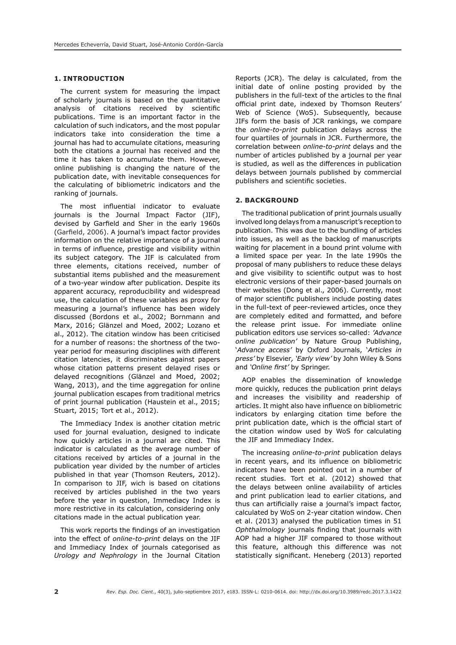## **1. INTRODUCTION**

The current system for measuring the impact of scholarly journals is based on the quantitative analysis of citations received by scientific publications. Time is an important factor in the calculation of such indicators, and the most popular indicators take into consideration the time a journal has had to accumulate citations, measuring both the citations a journal has received and the time it has taken to accumulate them. However, online publishing is changing the nature of the publication date, with inevitable consequences for the calculating of bibliometric indicators and the ranking of journals.

The most influential indicator to evaluate journals is the Journal Impact Factor (JIF), devised by Garfield and Sher in the early 1960s (Garfield, 2006). A journal's impact factor provides information on the relative importance of a journal in terms of influence, prestige and visibility within its subject category. The JIF is calculated from three elements, citations received, number of substantial items published and the measurement of a two-year window after publication. Despite its apparent accuracy, reproducibility and widespread use, the calculation of these variables as proxy for measuring a journal's influence has been widely discussed (Bordons et al., 2002; Bornmann and Marx, 2016; Glänzel and Moed, 2002; Lozano et al., 2012). The citation window has been criticised for a number of reasons: the shortness of the twoyear period for measuring disciplines with different citation latencies, it discriminates against papers whose citation patterns present delayed rises or delayed recognitions (Glänzel and Moed, 2002; Wang, 2013), and the time aggregation for online journal publication escapes from traditional metrics of print journal publication (Haustein et al., 2015; Stuart, 2015; Tort et al., 2012).

The Immediacy Index is another citation metric used for journal evaluation, designed to indicate how quickly articles in a journal are cited. This indicator is calculated as the average number of citations received by articles of a journal in the publication year divided by the number of articles published in that year (Thomson Reuters, 2012). In comparison to JIF, wich is based on citations received by articles published in the two years before the year in question, Immediacy Index is more restrictive in its calculation, considering only citations made in the actual publication year.

This work reports the findings of an investigation into the effect of *online-to-print* delays on the JIF and Immediacy Index of journals categorised as *Urology and Nephrology* in the Journal Citation Reports (JCR). The delay is calculated, from the initial date of online posting provided by the publishers in the full-text of the articles to the final official print date, indexed by Thomson Reuters' Web of Science (WoS). Subsequently, because JIFs form the basis of JCR rankings, we compare the *online-to-print* publication delays across the four quartiles of journals in JCR. Furthermore, the correlation between *online-to-print* delays and the number of articles published by a journal per year is studied, as well as the differences in publication delays between journals published by commercial publishers and scientific societies.

#### **2. BACKGROUND**

The traditional publication of print journals usually involved long delays from a manuscript's reception to publication. This was due to the bundling of articles into issues, as well as the backlog of manuscripts waiting for placement in a bound print volume with a limited space per year. In the late 1990s the proposal of many publishers to reduce these delays and give visibility to scientific output was to host electronic versions of their paper-based journals on their websites (Dong et al., 2006). Currently, most of major scientific publishers include posting dates in the full-text of peer-reviewed articles, once they are completely edited and formatted, and before the release print issue. For immediate online publication editors use services so-called: *'Advance online publication'* by Nature Group Publishing, '*Advance access'* by Oxford Journals, '*Articles in press'* by Elsevier*, 'Early view'* by John Wiley & Sons and *'Online first'* by Springer.

AOP enables the dissemination of knowledge more quickly, reduces the publication print delays and increases the visibility and readership of articles. It might also have influence on bibliometric indicators by enlarging citation time before the print publication date, which is the official start of the citation window used by WoS for calculating the JIF and Immediacy Index.

The increasing *online-to-print* publication delays in recent years, and its influence on bibliometric indicators have been pointed out in a number of recent studies. Tort et al. (2012) showed that the delays between online availability of articles and print publication lead to earlier citations, and thus can artificially raise a journal's impact factor, calculated by WoS on 2-year citation window. Chen et al. (2013) analysed the publication times in 51 *Ophthalmology* journals finding that journals with AOP had a higher JIF compared to those without this feature, although this difference was not statistically significant. Heneberg (2013) reported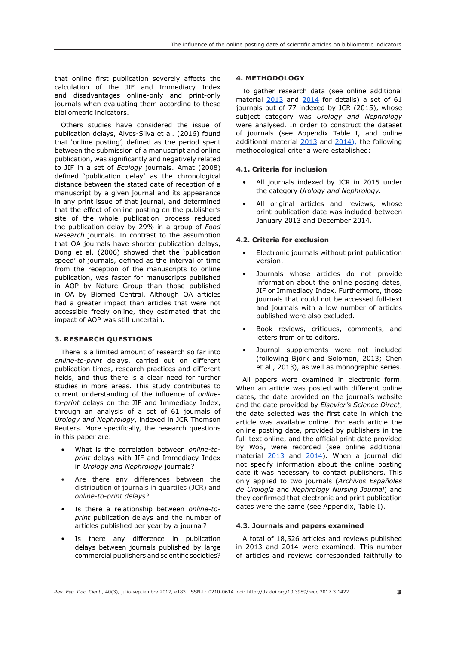that online first publication severely affects the calculation of the JIF and Immediacy Index and disadvantages online-only and print-only journals when evaluating them according to these bibliometric indicators.

Others studies have considered the issue of publication delays, Alves-Silva et al. (2016) found that 'online posting', defined as the period spent between the submission of a manuscript and online publication, was significantly and negatively related to JIF in a set of *Ecology* journals. Amat (2008) defined 'publication delay' as the chronological distance between the stated date of reception of a manuscript by a given journal and its appearance in any print issue of that journal, and determined that the effect of online posting on the publisher's site of the whole publication process reduced the publication delay by 29% in a group of *Food Research* journals. In contrast to the assumption that OA journals have shorter publication delays, Dong et al. (2006) showed that the 'publication speed' of journals, defined as the interval of time from the reception of the manuscripts to online publication, was faster for manuscripts published in AOP by Nature Group than those published in OA by Biomed Central. Although OA articles had a greater impact than articles that were not accessible freely online, they estimated that the impact of AOP was still uncertain.

# **3. RESEARCH QUESTIONS**

There is a limited amount of research so far into *online-to-print* delays, carried out on different publication times, research practices and different fields, and thus there is a clear need for further studies in more areas. This study contributes to current understanding of the influence of *onlineto-print* delays on the JIF and Immediacy Index, through an analysis of a set of 61 journals of *Urology and Nephrology*, indexed in JCR Thomson Reuters. More specifically, the research questions in this paper are:

- What is the correlation between *online-toprint* delays with JIF and Immediacy Index in *Urology and Nephrology* journals?
- Are there any differences between the distribution of journals in quartiles (JCR) and *online-to-print delays?*
- Is there a relationship between *online-toprint* publication delays and the number of articles published per year by a journal?
- Is there any difference in publication delays between journals published by large commercial publishers and scientific societies?

# **4. METHODOLOGY**

To gather research data (see online additional material [2013](https://figshare.com/s/032dc17ddd0441a4e8bb) and [2014](https://figshare.com/s/b3b163a87fed2f5a9132) for details) a set of 61 journals out of 77 indexed by JCR (2015), whose subject category was *Urology and Nephrology*  were analysed. In order to construct the dataset of journals (see Appendix Table I, and online additional material  $2013$  and  $2014$ ), the following methodological criteria were established:

# **4.1. Criteria for inclusion**

- All journals indexed by JCR in 2015 under the category *Urology and Nephrology.*
- All original articles and reviews, whose print publication date was included between January 2013 and December 2014.

# **4.2. Criteria for exclusion**

- Electronic journals without print publication version.
- Journals whose articles do not provide information about the online posting dates, JIF or Immediacy Index. Furthermore, those journals that could not be accessed full-text and journals with a low number of articles published were also excluded.
- Book reviews, critiques, comments, and letters from or to editors.
- Journal supplements were not included (following Björk and Solomon, 2013; Chen et al., 2013), as well as monographic series.

All papers were examined in electronic form. When an article was posted with different online dates, the date provided on the journal's website and the date provided by *Elsevier's Science Direct*, the date selected was the first date in which the article was available online. For each article the online posting date, provided by publishers in the full-text online, and the official print date provided by WoS, were recorded (see online additional material [2013](https://figshare.com/s/032dc17ddd0441a4e8bb) and [2014](https://figshare.com/s/b3b163a87fed2f5a9132)). When a journal did not specify information about the online posting date it was necessary to contact publishers. This only applied to two journals (*Archivos Españoles de Urología* and *Nephrology Nursing Journal*) and they confirmed that electronic and print publication dates were the same (see Appendix, Table I).

# **4.3. Journals and papers examined**

A total of 18,526 articles and reviews published in 2013 and 2014 were examined. This number of articles and reviews corresponded faithfully to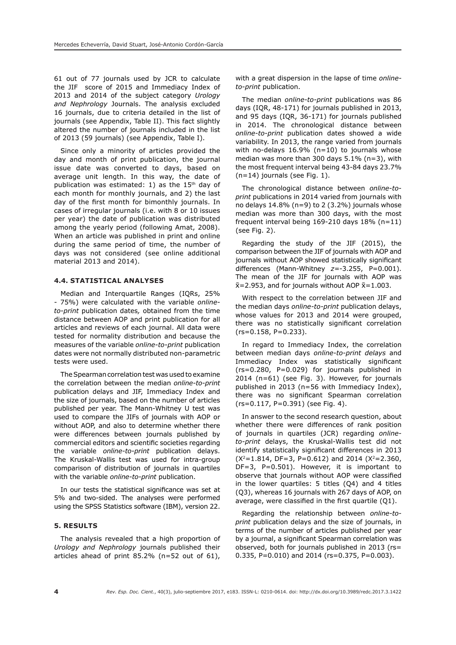61 out of 77 journals used by JCR to calculate the JIF score of 2015 and Immediacy Index of 2013 and 2014 of the subject category *Urology and Nephrology* Journals. The analysis excluded 16 journals, due to criteria detailed in the list of journals (see Appendix, Table II). This fact slightly altered the number of journals included in the list of 2013 (59 journals) (see Appendix, Table I).

Since only a minority of articles provided the day and month of print publication, the journal issue date was converted to days, based on average unit length. In this way, the date of publication was estimated: 1) as the  $15<sup>th</sup>$  day of each month for monthly journals, and 2) the last day of the first month for bimonthly journals. In cases of irregular journals (i.e. with 8 or 10 issues per year) the date of publication was distributed among the yearly period (following Amat, 2008). When an article was published in print and online during the same period of time, the number of days was not considered (see online additional material [2013](https://figshare.com/s/032dc17ddd0441a4e8bb) and [2014\)](https://figshare.com/s/b3b163a87fed2f5a9132).

### **4.4. STATISTICAL ANALYSES**

Median and Interquartile Ranges (IQRs, 25% - 75%) were calculated with the variable *onlineto-print* publication dates*,* obtained from the time distance between AOP and print publication for all articles and reviews of each journal. All data were tested for normality distribution and because the measures of the variable *online-to-print* publication dates were not normally distributed non-parametric tests were used.

The Spearman correlation test was used to examine the correlation between the median *online-to-print*  publication delays and JIF, Immediacy Index and the size of journals, based on the number of articles published per year. The Mann-Whitney U test was used to compare the JIFs of journals with AOP or without AOP, and also to determine whether there were differences between journals published by commercial editors and scientific societies regarding the variable *online-to-print* publication delays. The Kruskal-Wallis test was used for intra-group comparison of distribution of journals in quartiles with the variable *online-to-print* publication.

In our tests the statistical significance was set at 5% and two-sided. The analyses were performed using the SPSS Statistics software (IBM), version 22.

## **5. RESULTS**

The analysis revealed that a high proportion of *Urology and Nephrology* journals published their articles ahead of print 85.2% (n=52 out of 61), with a great dispersion in the lapse of time *onlineto-print* publication.

The median *online-to-print* publications was 86 days (IQR, 48-171) for journals published in 2013, and 95 days (IQR, 36-171) for journals published in 2014. The chronological distance between *online-to-print* publication dates showed a wide variability. In 2013, the range varied from journals with no-delays 16.9% (n=10) to journals whose median was more than 300 days 5.1% (n=3), with the most frequent interval being 43-84 days 23.7%  $(n=14)$  journals (see Fig. 1).

The chronological distance between *online-toprint* publications in 2014 varied from journals with no delays 14.8% (n=9) to 2 (3.2%) journals whose median was more than 300 days, with the most frequent interval being  $169-210$  days  $18\%$  (n=11) (see Fig. 2).

Regarding the study of the JIF (2015), the comparison between the JIF of journals with AOP and journals without AOP showed statistically significant differences (Mann-Whitney *z=*-3.255, P=0.001). The mean of the JIF for journals with AOP was  $\bar{x}$ =2.953, and for journals without AOP  $\bar{x}$ =1.003.

With respect to the correlation between JIF and the median days *online-to-print* publication delays, whose values for 2013 and 2014 were grouped, there was no statistically significant correlation  $(rs=0.158, P=0.233).$ 

In regard to Immediacy Index, the correlation between median days *online-to-print delays* and Immediacy Index was statistically significant (rs=0.280, P=0.029) for journals published in 2014 (n=61) (see Fig. 3). However, for journals published in 2013 (n=56 with Immediacy Index), there was no significant Spearman correlation (rs=0.117, P=0.391) (see Fig. 4).

In answer to the second research question, about whether there were differences of rank position of journals in quartiles (JCR) regarding *onlineto-print* delays, the Kruskal-Wallis test did not identify statistically significant differences in 2013  $(X^2=1.814, DF=3, P=0.612)$  and 2014  $(X^2=2.360,$ DF=3, P=0.501). However, it is important to observe that journals without AOP were classified in the lower quartiles: 5 titles (Q4) and 4 titles (Q3), whereas 16 journals with 267 days of AOP, on average, were classified in the first quartile (Q1).

Regarding the relationship between *online-toprint* publication delays and the size of journals, in terms of the number of articles published per year by a journal, a significant Spearman correlation was observed, both for journals published in 2013 (rs= 0.335, P=0.010) and 2014 (rs=0.375, P=0.003).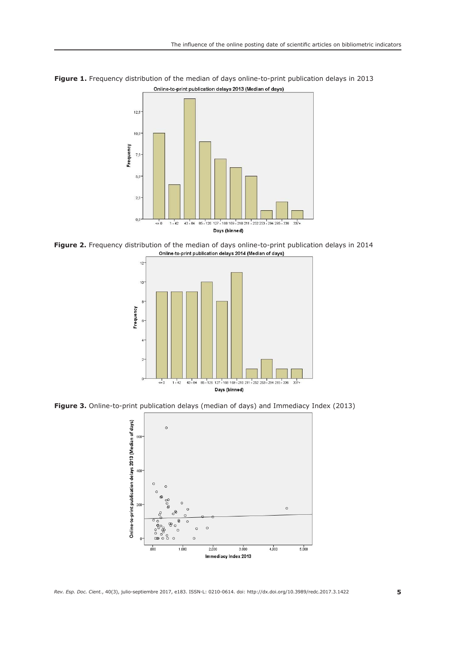

**Figure 1.** Frequency distribution of the median of days online-to-print publication delays in 2013Online-to-print publication delays 2013 (Median of days)

**Figure 2.** Frequency distribution of the median of days online-to-print publication delays in 2014 Online-to-print publication delays 2014 (Median of days)



**Figure 3.** Online-to-print publication delays (median of days) and Immediacy Index (2013)

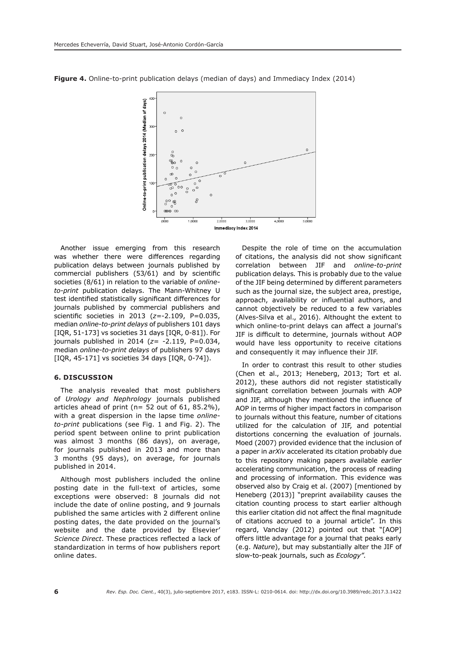

**Figure 4.** Online-to-print publication delays (median of days) and Immediacy Index (2014)

Another issue emerging from this research was whether there were differences regarding publication delays between journals published by commercial publishers (53/61) and by scientific societies (8/61) in relation to the variable of *onlineto-print* publication delays. The Mann-Whitney U test identified statistically significant differences for journals published by commercial publishers and scientific societies in 2013 (*z=*-2.109, P=0.035, median *online-to-print delays* of publishers 101 days [IQR, 51-173] vs societies 31 days [IQR, 0-81]). For journals published in 2014 (*z=* -2.119, P=0.034, median *online-to-print delays* of publishers 97 days [IQR, 45-171] vs societies 34 days [IQR, 0-74]).

#### **6. DISCUSSION**

The analysis revealed that most publishers of *Urology and Nephrology* journals published articles ahead of print ( $n= 52$  out of 61, 85.2%), with a great dispersion in the lapse time *onlineto-print* publications (see Fig. 1 and Fig. 2). The period spent between online to print publication was almost 3 months (86 days), on average, for journals published in 2013 and more than 3 months (95 days), on average, for journals published in 2014.

Although most publishers included the online posting date in the full-text of articles, some exceptions were observed: 8 journals did not include the date of online posting, and 9 journals published the same articles with 2 different online posting dates, the date provided on the journal's website and the date provided by Elsevier' *Science Direct*. These practices reflected a lack of standardization in terms of how publishers report online dates.

Despite the role of time on the accumulation of citations, the analysis did not show significant correlation between JIF and *online-to-print*  publication delays*.* This is probably due to the value of the JIF being determined by different parameters such as the journal size, the subject area, prestige, approach, availability or influential authors, and cannot objectively be reduced to a few variables (Alves-Silva et al., 2016). Althought the extent to which online-to-print delays can affect a journal's JIF is difficult to determine, journals without AOP would have less opportunity to receive citations and consequently it may influence their JIF.

In order to contrast this result to other studies (Chen et al., 2013; Heneberg, 2013; Tort et al. 2012), these authors did not register statistically significant correllation between journals with AOP and JIF, although they mentioned the influence of AOP in terms of higher impact factors in comparison to journals without this feature, number of citations utilized for the calculation of JIF, and potential distortions concerning the evaluation of journals. Moed (2007) provided evidence that the inclusion of a paper in *arXiv* accelerated its citation probably due to this repository making papers available *earlier*  accelerating communication, the process of reading and processing of information. This evidence was observed also by Craig et al. (2007) [mentioned by Heneberg (2013)] "preprint availability causes the citation counting process to start earlier although this earlier citation did not affect the final magnitude of citations accrued to a journal article". In this regard, Vanclay (2012) pointed out that "[AOP] offers little advantage for a journal that peaks early (e.g. *Nature*), but may substantially alter the JIF of slow-to-peak journals, such as *Ecology".*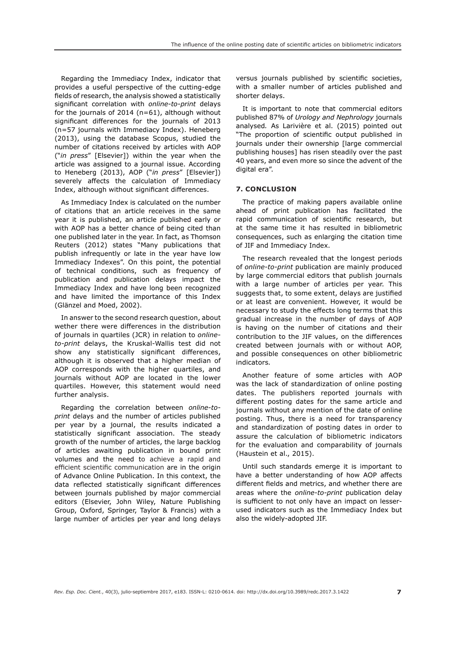Regarding the Immediacy Index, indicator that provides a useful perspective of the cutting-edge fields of research, the analysis showed a statistically significant correlation with *online-to-print* delays for the journals of 2014 (n=61), although without significant differences for the journals of 2013 (n=57 journals with Immediacy Index). Heneberg (2013), using the database Scopus, studied the number of citations received by articles with AOP ("*in press*" [Elsevier]) within the year when the article was assigned to a journal issue. According to Heneberg (2013), AOP ("*in press*" [Elsevier]) severely affects the calculation of Immediacy Index, although without significant differences.

As Immediacy Index is calculated on the number of citations that an article receives in the same year it is published, an article published early or with AOP has a better chance of being cited than one published later in the year. In fact, as Thomson Reuters (2012) states "Many publications that publish infrequently or late in the year have low Immediacy Indexes". On this point, the potential of technical conditions, such as frequency of publication and publication delays impact the Immediacy Index and have long been recognized and have limited the importance of this Index (Glänzel and Moed, 2002).

In answer to the second research question, about wether there were differences in the distribution of journals in quartiles (JCR) in relation to *onlineto-print* delays, the Kruskal-Wallis test did not show any statistically significant differences, although it is observed that a higher median of AOP corresponds with the higher quartiles, and journals without AOP are located in the lower quartiles. However, this statement would need further analysis.

Regarding the correlation between *online-toprint* delays and the number of articles published per year by a journal, the results indicated a statistically significant association. The steady growth of the number of articles, the large backlog of articles awaiting publication in bound print volumes and the need to achieve a rapid and efficient scientific communication are in the origin of Advance Online Publication. In this context, the data reflected statistically significant differences between journals published by major commercial editors (Elsevier, John Wiley, Nature Publishing Group, Oxford, Springer, Taylor & Francis) with a large number of articles per year and long delays

versus journals published by scientific societies, with a smaller number of articles published and shorter delays.

It is important to note that commercial editors published 87% of *Urology and Nephrology* journals analysed*.* As Larivière et al. (2015) pointed out "The proportion of scientific output published in journals under their ownership [large commercial publishing houses] has risen steadily over the past 40 years, and even more so since the advent of the digital era".

#### **7. CONCLUSION**

The practice of making papers available online ahead of print publication has facilitated the rapid communication of scientific research, but at the same time it has resulted in bibliometric consequences, such as enlarging the citation time of JIF and Immediacy Index.

The research revealed that the longest periods of *online-to-print* publication are mainly produced by large commercial editors that publish journals with a large number of articles per year. This suggests that, to some extent, delays are justified or at least are convenient. However, it would be necessary to study the effects long terms that this gradual increase in the number of days of AOP is having on the number of citations and their contribution to the JIF values, on the differences created between journals with or without AOP, and possible consequences on other bibliometric indicators*.*

Another feature of some articles with AOP was the lack of standardization of online posting dates. The publishers reported journals with different posting dates for the same article and journals without any mention of the date of online posting. Thus, there is a need for transparency and standardization of posting dates in order to assure the calculation of bibliometric indicators for the evaluation and comparability of journals (Haustein et al., 2015).

Until such standards emerge it is important to have a better understanding of how AOP affects different fields and metrics, and whether there are areas where the *online-to-print* publication delay is sufficient to not only have an impact on lesserused indicators such as the Immediacy Index but also the widely-adopted JIF.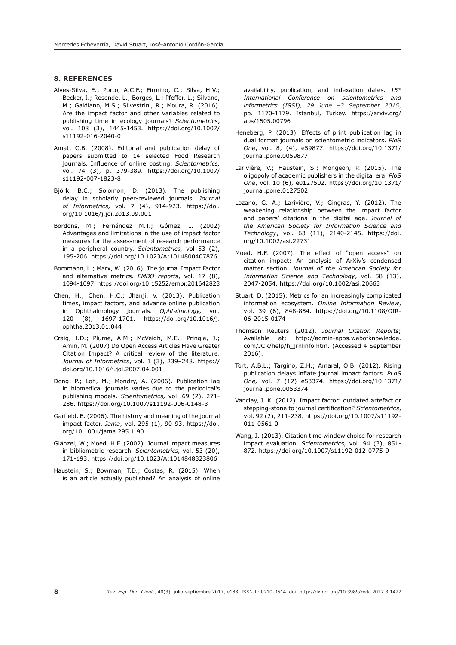## **8. REFERENCES**

- Alves-Silva, E.; Porto, A.C.F.; Firmino, C.; Silva, H.V.; Becker, I.; Resende, L.; Borges, L.; Pfeffer, L.; Silvano, M.; Galdiano, M.S.; Silvestrini, R.; Moura, R. (2016). Are the impact factor and other variables related to publishing time in ecology journals? *Scientometrics*, vol. 108 (3), 1445-1453. [https://doi.org/10.1007/](https://doi.org/10.1007/s11192-016-2040-0) [s11192-016-2040-0](https://doi.org/10.1007/s11192-016-2040-0)
- Amat, C.B. (2008). Editorial and publication delay of papers submitted to 14 selected Food Research journals. Influence of online posting. *Scientometrics,*  vol. 74 (3), p. 379-389. https://doi.org/10.1007/ s11192-007-1823-8
- Björk, B.C.; Solomon, D. (2013). The publishing delay in scholarly peer-reviewed journals. *Journal of Informetrics,* vol. 7 (4), 914-923. [https://doi.](https://doi.org/10.1016/j.joi.2013.09.001) [org/10.1016/j.joi.2013.09.001](https://doi.org/10.1016/j.joi.2013.09.001)
- Bordons, M.; Fernández M.T.; Gómez, I. (2002) Advantages and limitations in the use of impact factor measures for the assessment of research performance in a peripheral country. *Scientometrics,* vol 53 (2), 195-206. [https://doi.org/10.1023/A:1014800407876](https://doi.org/10.1023/A:1014800407876
)
- Bornmann, L.; Marx, W. (2016). The journal Impact Factor and alternative metrics. *EMBO reports*, vol. 17 (8), 1094-1097. <https://doi.org/10.15252/embr.201642823>
- Chen, H.; Chen, H.C.; Jhanji, V. (2013). Publication times, impact factors, and advance online publication in Ophthalmology journals. *Ophtalmology,* vol. 120 (8), 1697-1701. [https://doi.org/10.1016/j.](https://doi.org/10.1016/j.ophtha.2013.01.044) [ophtha.2013.01.044](https://doi.org/10.1016/j.ophtha.2013.01.044)
- Craig, I.D.; Plume, A.M.; McVeigh, M.E.; Pringle, J.; Amin, M. (2007) Do Open Access Articles Have Greater Citation Impact? A critical review of the literature. *Journal of Informetrics*, vol. 1 (3), 239–248. [https://](https://doi.org/10.1016/j.joi.2007.04.001) [doi.org/10.1016/j.joi.2007.04.001](https://doi.org/10.1016/j.joi.2007.04.001)
- Dong, P.; Loh, M.; Mondry, A. (2006). Publication lag in biomedical journals varies due to the periodical's publishing models. *Scientometrics,* vol. 69 (2), 271- 286.<https://doi.org/10.1007/s11192-006-0148-3>
- Garfield, E. (2006). The history and meaning of the journal impact factor. *Jama*, vol. 295 (1), 90-93. [https://doi.](https://doi.org/10.1001/jama.295.1.90) [org/10.1001/jama.295.1.90](https://doi.org/10.1001/jama.295.1.90)
- Glänzel, W.; Moed, H.F. (2002). Journal impact measures in bibliometric research. *Scientometrics,* vol. 53 (20), 171-193.<https://doi.org/10.1023/A:1014848323806>
- Haustein, S.; Bowman, T.D.; Costas, R. (2015). When is an article actually published? An analysis of online

availability, publication, and indexation dates. *15th International Conference on scientometrics and informetrics (ISSI), 29 June –3 September 2015*, pp. 1170-1179. Istanbul, Turkey. [https://arxiv.org/](https://arxiv.org/abs/1505.00796) [abs/1505.00796](https://arxiv.org/abs/1505.00796)

- Heneberg, P. (2013). Effects of print publication lag in dual format journals on scientometric indicators. *PloS One*, vol. 8, (4), e59877. [https://doi.org/10.1371/](https://doi.org/10.1371/journal.pone.0059877) [journal.pone.0059877](https://doi.org/10.1371/journal.pone.0059877)
- Larivière, V.; Haustein, S.; Mongeon, P. (2015). The oligopoly of academic publishers in the digital era. *PloS One*, vol. 10 (6), e0127502. [https://doi.org/10.1371/](https://doi.org/10.1371/journal.pone.0127502) [journal.pone.0127502](https://doi.org/10.1371/journal.pone.0127502)
- Lozano, G. A.; Larivière, V.; Gingras, Y. (2012). The weakening relationship between the impact factor and papers' citations in the digital age. *Journal of the American Society for Information Science and Technology*, vol. 63 (11), 2140-2145. [https://doi.](https://doi.org/10.1002/asi.22731) [org/10.1002/asi.22731](https://doi.org/10.1002/asi.22731)
- Moed, H.F. (2007). The effect of "open access" on citation impact: An analysis of ArXiv's condensed matter section. *Journal of the American Society for Information Science and Technology*, vol. 58 (13), 2047-2054.<https://doi.org/10.1002/asi.20663>
- Stuart, D. (2015). Metrics for an increasingly complicated information ecosystem. *Online Information Review*, vol. 39 (6), 848-854. [https://doi.org/10.1108/OIR-](https://doi.org/10.1108/OIR-06-2015-0174)[06-2015-0174](https://doi.org/10.1108/OIR-06-2015-0174)
- Thomson Reuters (2012). *Journal Citation Reports*; Available at: [http://admin-apps.webofknowledge.](http://admin-apps.webofknowledge.com/JCR/help/h_jrnlinfo.htm.) [com/JCR/help/h\\_jrnlinfo.htm.](http://admin-apps.webofknowledge.com/JCR/help/h_jrnlinfo.htm.) (Accessed 4 September 2016).
- Tort, A.B.L.; Targino, Z.H.; Amaral, O.B. (2012). Rising publication delays inflate journal impact factors. *PLoS One,* vol. 7 (12) e53374. [https://doi.org/10.1371/](https://doi.org/10.1371/journal.pone.0053374) [journal.pone.0053374](https://doi.org/10.1371/journal.pone.0053374)
- Vanclay, J. K. (2012). Impact factor: outdated artefact or stepping-stone to journal certification? *Scientometrics*, vol. 92 (2), 211-238. [https://doi.org/10.1007/s11192-](https://doi.org/10.1007/s11192-011-0561-0) [011-0561-0](https://doi.org/10.1007/s11192-011-0561-0)
- Wang, J. (2013). Citation time window choice for research impact evaluation. *Scientometrics*, vol. 94 (3), 851- 872.<https://doi.org/10.1007/s11192-012-0775-9>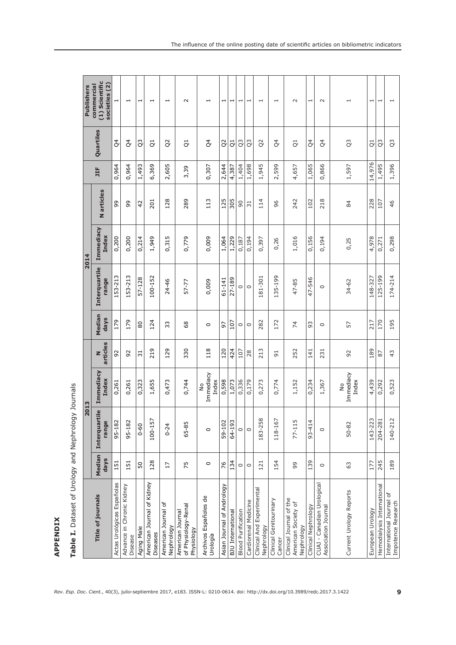|                                                              |                | 2013                   |                                     |                |                |                        | 2014                      |                 |        |                 | <b>Publishers</b>                             |
|--------------------------------------------------------------|----------------|------------------------|-------------------------------------|----------------|----------------|------------------------|---------------------------|-----------------|--------|-----------------|-----------------------------------------------|
| <b>Title of journals</b>                                     | Median<br>days | Interquartile<br>range | <b>Immediacy</b><br>Index           | articles<br>z  | Median<br>days | Interquartile<br>range | <b>Immediacy</b><br>Index | N articles      | 耳      | Quartiles       | (1) Scientific<br>societies (2)<br>commercial |
| Actas Urológicas Españolas                                   | 151            | 95-182                 | 0,261                               | 92             | 179            | 153-213                | 0,200                     | 99              | 0,964  | $\beta$         | H                                             |
| Advance in Chronic Kidney<br>Disease                         | 151            | 95-182                 | 0,261                               | 92             | 179            | 153-213                | 0,200                     | 99              | 0,964  | $\beta$         | ⊣                                             |
| Aging Male                                                   | 50             | $0 - 60$               | 0,323                               | $\overline{5}$ | 80             | 57-128                 | 0,214                     | 42              | 1,493  | c3              | H                                             |
| American Journal of Kidney<br>Diseases                       | 128            | 100-157                | 1,655                               | 219            | 124            | 100-152                | 1,949                     | 201             | 6,369  | $\vec{c}$       | $\overline{\phantom{0}}$                      |
| American Journal of<br>Nephrology                            | 17             | $0 - 24$               | 0,473                               | 129            | 33             | 24-46                  | 0,315                     | 128             | 2,605  | S <sub>2</sub>  | H                                             |
| of Physiology-Renal<br>American Journal<br>Physiology        | 75             | 65-85                  | 0,744                               | 330            | 68             | 57-77                  | 0,779                     | 289             | 3,39   | $\vec{c}$       | $\sim$                                        |
| Archivos Españoles de<br>Urología                            | $\circ$        | $\circ$                | Immediacy<br>Index<br>$\frac{1}{2}$ | 118            | $\circ$        | 0,009                  | 0,009                     | 113             | 0,307  | $\mathcal{Q}^4$ |                                               |
| Asian Journal of Andrology                                   | 76             | 59-102                 | 0,598                               | 120            | 97             | 61-141                 | 1,064                     | 125             | 2,644  | $\overline{Q}$  | H                                             |
| <b>BJU</b> International                                     | 134            | 64-193                 | 1,073                               | 424            | 107            | 27-189                 | 1,229                     | 305             | 4,387  | $\vec{Q}$       | ⊣                                             |
| <b>Blood Purification</b>                                    | $\circ$        | $\circ$                | 0,336                               | 107            | $\circ$        | $\circ$                | 0,187                     | 90              | 1,404  | Q <sub>3</sub>  |                                               |
| Cardiorenal Medicine                                         | $\circ$        | $\circ$                | 0,179                               | 28             | $\circ$        | $\circ$                | 0,194                     | $\overline{31}$ | 1,698  | Q3              |                                               |
| Clinical And Experimental<br>Nephrology                      | 121            | 183-258                | 0,273                               | 213            | 282            | 181-301                | 0,397                     | 114             | 1,945  | S <sub>2</sub>  | $\overline{\phantom{0}}$                      |
| Clinical Genitourinary<br>Cancer                             | 154            | 118-167                | 0,774                               | $\overline{5}$ | 172            | 135-199                | 0,26                      | 96              | 2,599  | $\beta$         | $\overline{\phantom{0}}$                      |
| Clinical Journal of the<br>American Society of<br>Nephrology | 99             | 77-115                 | 1,152                               | 252            | $\overline{7}$ | 47-85                  | 1,016                     | 242             | 4,657  | $\vec{C}$       | $\sim$                                        |
| Clinical Nephrology                                          | 139            | $93 - 414$             | 0,234                               | 141            | 93             | 47-546                 | 0,156                     | 102             | 1,065  | $\beta$         | $\overline{\phantom{0}}$                      |
| CUAJ - Canadian Urological<br>Association Journal            | $\circ$        | $\circ$                | 1,367                               | 231            | $\circ$        | $\circ$                | 0,194                     | 218             | 0,866  | $\beta$         | $\sim$                                        |
| Current Urology Reports                                      | 63             | 50-82                  | Immediacy<br>Index<br>$\frac{1}{2}$ | 92             | 57             | $34 - 62$              | 0,25                      | 84              | 1,597  | S,              | $\mathord{\text{--}}$                         |
| European Urology                                             | 177            | $143 - 223$            | 4,439                               | 189            | 217            | 148-327                | 4,978                     | 228             | 14,976 | $\vec{C}$       | $\overline{\phantom{0}}$                      |
| Hemodialysis International                                   | 245            | 204-281                | 0,292                               | 87             | 170            | 125-199                | 0,271                     | 107             | 1,495  | C <sub>3</sub>  | $\overline{\phantom{0}}$                      |
| International Journal of<br>Impotence Research               | 189            | $\sim$<br>140-21       | 0,523                               | $\frac{1}{4}$  | 195            | 174-214                | 0,298                     | 46              | 1,396  | C <sub>3</sub>  |                                               |

Table I. Dataset of Urology and Nephrology Journals **Table I.** Dataset of Urology and Nephrology Journals

**APPENDIX**

**APPENDIX** 

**9**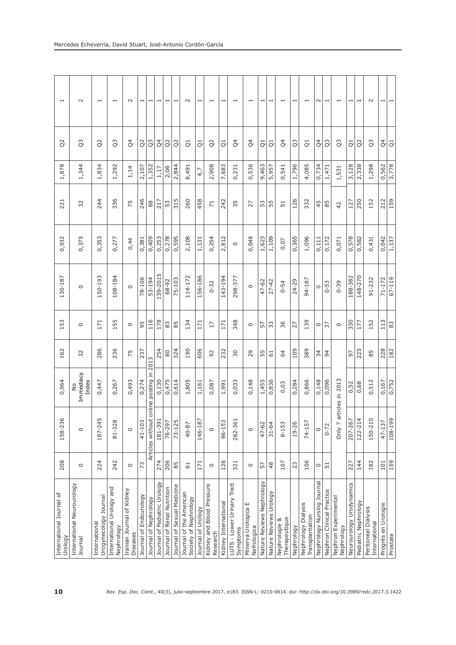| $\overline{\phantom{0}}$            | $\sim$                                | $\overline{\phantom{0}}$               | $\overline{\phantom{0}}$                | $\sim$                                | $\overline{\phantom{0}}$ | $\overline{\phantom{0}}$ | $\overline{\phantom{0}}$     | $\overline{\phantom{0}}$   | $\overline{\phantom{0}}$   | $\sim$                                           | $\overline{\phantom{0}}$ | $\overline{\phantom{0}}$              | $\overline{ }$       | $\overline{\phantom{0}}$                                                                                                     | $\overline{\phantom{0}}$              | $\overline{\phantom{0}}$  | $\overline{\phantom{0}}$ | $\overline{\phantom{0}}$       | ⊣          | $\overline{\phantom{0}}$               | $\sim$                     | ⊣                         | $\overline{\phantom{0}}$           | H                        | $\overline{\phantom{0}}$ | $\sim$                               | I                   | $\overline{\phantom{0}}$ |
|-------------------------------------|---------------------------------------|----------------------------------------|-----------------------------------------|---------------------------------------|--------------------------|--------------------------|------------------------------|----------------------------|----------------------------|--------------------------------------------------|--------------------------|---------------------------------------|----------------------|------------------------------------------------------------------------------------------------------------------------------|---------------------------------------|---------------------------|--------------------------|--------------------------------|------------|----------------------------------------|----------------------------|---------------------------|------------------------------------|--------------------------|--------------------------|--------------------------------------|---------------------|--------------------------|
| $\Omega$                            | $\tilde{Q}$                           | Q <sub>2</sub>                         | c3                                      | $\beta$                               | Q <sub>2</sub>           | Q3                       | $\beta$                      | Q <sub>2</sub>             | $\overline{Q}$             | $\vec{C}$                                        | $\vec{C}$                | $\tilde{Q}$                           | $\vec{c}$            | $\beta$                                                                                                                      | $\beta$                               | $\vec{C}$                 | $\vec{c}$                | $\beta$                        | Q3         | $\vec{C}$                              | $\beta$                    | c3                        | C <sub>3</sub>                     | $\vec{C}$                | $\approx$                | c3                                   | $\beta$             | $\vec{C}$                |
| 1,878                               | 1,344                                 | 1,834                                  | 1,292                                   | 1,14                                  | 2,107                    | 1,352                    | 1,17                         | 2,06                       | 2,844                      | 8,491                                            | 4,7                      | 2,908                                 | 7,683                | 0,231                                                                                                                        | 0,536                                 | 9,463                     | 5,957                    | 0,541                          | 1,796      | 4,085                                  | 0,734                      | 1,471                     | 1,531                              | 3,128                    | 2,338                    | 1,298                                | 0,562               | 3,778                    |
| 221                                 | 32                                    | 244                                    | 336                                     | 75                                    | 246                      | 88                       | 217                          | 53                         | 315                        | 260                                              | 458                      | $\overline{7}$                        | 242                  | 35                                                                                                                           | 27                                    | 53                        | 55                       | 51                             | 126        | 332                                    | 45                         | 85                        | 42                                 | 127                      | 250                      | 152                                  | 212                 | 159                      |
| 0,932                               | 0,375                                 | 0,353                                  | 0,277                                   | 0,44                                  | 0,381                    | 0,409                    | 0,253                        | 0,278                      | 0,595                      | 2,108                                            | 1,131                    | 0,254                                 | 2,812                | $\circ$                                                                                                                      | 0,048                                 | 1,623                     | 1,109                    | 0,07                           | 0,365      | 1,096                                  | 0,111                      | 0,172                     | 0,071                              | 0,578                    | 0,582                    | 0,431                                | 0,042               | 1,137                    |
| 130-187                             | $\circ$                               | 150-193                                | 108-184                                 | $\circ$                               | 78-106                   | 53-194                   | 139-2015                     | 68-92                      | $75 - 103$                 | 114-172                                          | 156-186                  | $0 - 32$                              | 143-194              | 298-377                                                                                                                      | $\circ$                               | 47-62                     | $27 - 42$                | $0 - 54$                       | $24 - 29$  | 94-187                                 | $\circ$                    | $0 - 53$                  | $0 - 39$                           | 188-382                  | 148-270                  | $91 - 232$                           | $71 - 172$          | 67-119                   |
| 153                                 | $\circ$                               | 171                                    | 155                                     | $\circ$                               | 95                       | 116                      | 178                          | 83                         | 85                         | 134                                              | 171                      | 17                                    | 171                  | 348                                                                                                                          | $\circ$                               | 57                        | 33                       | 36                             | 27         | 139                                    | $\circ$                    | 37                        | $\circ$                            | 330                      | 177                      | 152                                  | 113                 | 83                       |
| 162                                 | 32                                    | 286                                    | 236                                     | 75                                    | 237                      | 2013                     | 254                          | 80                         | 324                        | 190                                              | 606                      | 92                                    | 232                  | 30                                                                                                                           | 29                                    | 55                        | $\overline{61}$          | 64                             | 109        | 389                                    | 34                         | $\overline{9}$            |                                    | 97                       | 225                      | 85                                   | 228                 | 182                      |
| 0,964                               | Immediacy<br>Index<br>$\frac{1}{2}$   | 0,447                                  | 0,267                                   | 0,493                                 | 0,274                    | online posting in        | 0,130                        | 0,475                      | 0,614                      | 1,805                                            | 1,161                    | 0,087                                 | 1,991                | 0,033                                                                                                                        | 0,148                                 | 1,455                     | 0,836                    | 0,03                           | 0,284      | 0,866                                  | 0,148                      | 0,096                     | articles in 2013                   | 0,52                     | 0,68                     | 0,512                                | 0,167               | 0,752                    |
| $\Omega$<br>158-23                  | $\circ$                               | $\sqrt{2}$<br>187-24                   | 81-328                                  | $\circ$                               | 41-103                   | Articles without         | 181-39                       | 76-297                     | 73-125                     | 40-87                                            | 146-18                   | $\circ$                               | 96-153               | 282-36                                                                                                                       | $\circ$                               | 47-62                     | $31 - 64$                | 8-153                          | 19-26      | 74-157                                 | $\circ$                    | $0 - 72$                  | Only 7                             | 207-26                   | 122-214                  | 150-210                              | $47 - 137$          | 108-199                  |
| 208                                 | $\circ$                               | 224                                    | 242                                     | $\circ$                               | 73                       |                          | 274                          | 206                        | 85                         | 61                                               | 171                      | $\circ$                               | 126                  | 321                                                                                                                          | $\circ$                               | 57                        | 48                       | 107                            | 23         | 106                                    | $\circ$                    | $\overline{51}$           |                                    | 227                      | 144                      | 182                                  | 101                 | 159                      |
| International Journal of<br>Urology | International Neurourology<br>Journal | Urogynecology Journal<br>International | International Urology and<br>Nephrology | Iranian Journal of Kidney<br>Diseases | Journal of Endourology   | Journal of Nephrology    | Journal of Pediatric Urology | Journal of Renal Nutrition | Journal of Sexual Medicine | Journal of the American<br>Society of Nephrology | Journal of Urology       | Kidney and Blood Pressure<br>Research | Kidney International | LUTS - Lower Urinary Tract<br>Symptoms                                                                                       | ш<br>Minerva Urologica<br>Nefrologica | Nature Reviews Nephrology | Nature Reviews Urology   | Therapeutique<br>Nephrologie & | Nephrology | Nephrology Dialysis<br>Transplantation | Nephrology Nursing Journal | Nephron Clinical Practice | Nephron Experimental<br>Nephrology | Neurourology Urodynamics | Pediatric Nephrology     | Peritoneal Dialysis<br>International | Progrès en Urologie | Prostate                 |
| 10                                  |                                       |                                        |                                         |                                       |                          |                          |                              |                            |                            |                                                  |                          |                                       |                      | Rev. Esp. Doc. Cient., 40(3), julio-septiembre 2017, e183. ISSN-L: 0210-0614. doi: http://dx.doi.org/10.3989/redc.2017.3.142 |                                       |                           |                          |                                |            |                                        |                            |                           |                                    |                          |                          |                                      |                     |                          |